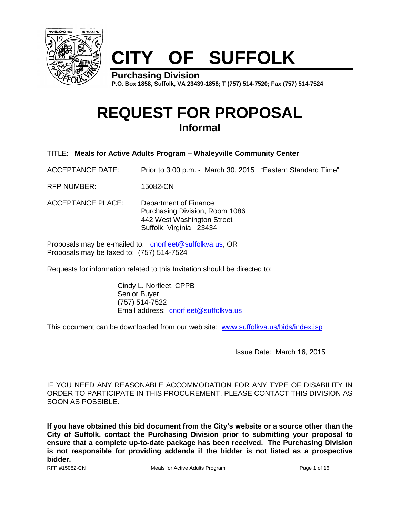

# **CITY OF SUFFOLK**

**Purchasing Division P.O. Box 1858, Suffolk, VA 23439-1858; T (757) 514-7520; Fax (757) 514-7524**

# **REQUEST FOR PROPOSAL Informal**

TITLE: **Meals for Active Adults Program – Whaleyville Community Center**

ACCEPTANCE DATE: Prior to 3:00 p.m. - March 30, 2015 "Eastern Standard Time"

RFP NUMBER: 15082-CN

ACCEPTANCE PLACE: Department of Finance Purchasing Division, Room 1086 442 West Washington Street Suffolk, Virginia 23434

Proposals may be e-mailed to: [cnorfleet@suffolkva.us,](mailto:cnorfleet@suffolkva.us) OR Proposals may be faxed to: (757) 514-7524

Requests for information related to this Invitation should be directed to:

Cindy L. Norfleet, CPPB Senior Buyer (757) 514-7522 Email address: [cnorfleet@suffolkva.us](mailto:cnorfleet@suffolkva.us)

This document can be downloaded from our web site: [www.suffolkva.us/bids/index.jsp](http://www.suffolkva.us/bids/index.jsp)

Issue Date: March 16, 2015

IF YOU NEED ANY REASONABLE ACCOMMODATION FOR ANY TYPE OF DISABILITY IN ORDER TO PARTICIPATE IN THIS PROCUREMENT, PLEASE CONTACT THIS DIVISION AS SOON AS POSSIBLE.

**If you have obtained this bid document from the City's website or a source other than the City of Suffolk, contact the Purchasing Division prior to submitting your proposal to ensure that a complete up-to-date package has been received. The Purchasing Division is not responsible for providing addenda if the bidder is not listed as a prospective bidder.**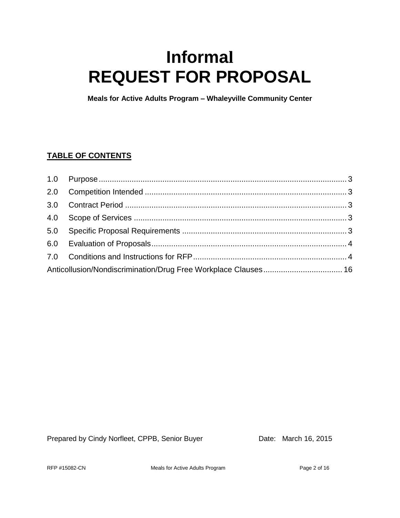# **Informal REQUEST FOR PROPOSAL**

**Meals for Active Adults Program – Whaleyville Community Center**

## **TABLE OF CONTENTS**

Prepared by Cindy Norfleet, CPPB, Senior Buyer Date: March 16, 2015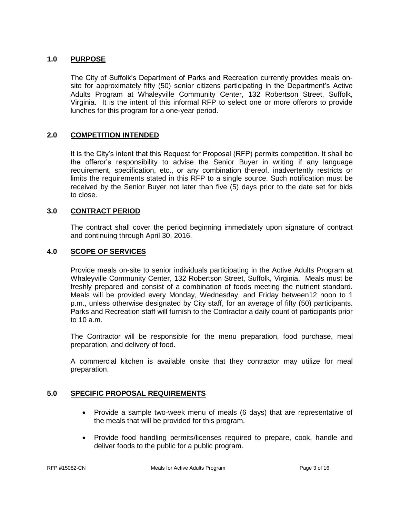#### <span id="page-2-0"></span>**1.0 PURPOSE**

The City of Suffolk's Department of Parks and Recreation currently provides meals onsite for approximately fifty (50) senior citizens participating in the Department's Active Adults Program at Whaleyville Community Center, 132 Robertson Street, Suffolk, Virginia. It is the intent of this informal RFP to select one or more offerors to provide lunches for this program for a one-year period.

#### <span id="page-2-1"></span>**2.0 COMPETITION INTENDED**

It is the City's intent that this Request for Proposal (RFP) permits competition. It shall be the offeror's responsibility to advise the Senior Buyer in writing if any language requirement, specification, etc., or any combination thereof, inadvertently restricts or limits the requirements stated in this RFP to a single source. Such notification must be received by the Senior Buyer not later than five (5) days prior to the date set for bids to close.

#### <span id="page-2-2"></span>**3.0 CONTRACT PERIOD**

The contract shall cover the period beginning immediately upon signature of contract and continuing through April 30, 2016.

#### <span id="page-2-3"></span>**4.0 SCOPE OF SERVICES**

Provide meals on-site to senior individuals participating in the Active Adults Program at Whaleyville Community Center, 132 Robertson Street, Suffolk, Virginia. Meals must be freshly prepared and consist of a combination of foods meeting the nutrient standard. Meals will be provided every Monday, Wednesday, and Friday between12 noon to 1 p.m., unless otherwise designated by City staff, for an average of fifty (50) participants. Parks and Recreation staff will furnish to the Contractor a daily count of participants prior to 10 a.m.

The Contractor will be responsible for the menu preparation, food purchase, meal preparation, and delivery of food.

A commercial kitchen is available onsite that they contractor may utilize for meal preparation.

#### <span id="page-2-4"></span>**5.0 SPECIFIC PROPOSAL REQUIREMENTS**

- Provide a sample two-week menu of meals (6 days) that are representative of the meals that will be provided for this program.
- Provide food handling permits/licenses required to prepare, cook, handle and deliver foods to the public for a public program.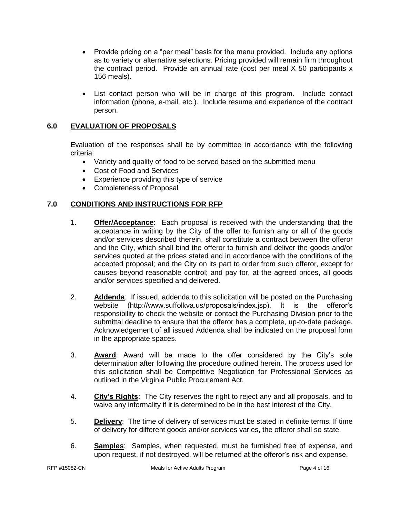- Provide pricing on a "per meal" basis for the menu provided. Include any options as to variety or alternative selections. Pricing provided will remain firm throughout the contract period. Provide an annual rate (cost per meal X 50 participants x 156 meals).
- List contact person who will be in charge of this program. Include contact information (phone, e-mail, etc.). Include resume and experience of the contract person.

### <span id="page-3-0"></span>**6.0 EVALUATION OF PROPOSALS**

Evaluation of the responses shall be by committee in accordance with the following criteria:

- Variety and quality of food to be served based on the submitted menu
- Cost of Food and Services
- **Experience providing this type of service**
- Completeness of Proposal

### <span id="page-3-1"></span>**7.0 CONDITIONS AND INSTRUCTIONS FOR RFP**

- 1. **Offer/Acceptance**: Each proposal is received with the understanding that the acceptance in writing by the City of the offer to furnish any or all of the goods and/or services described therein, shall constitute a contract between the offeror and the City, which shall bind the offeror to furnish and deliver the goods and/or services quoted at the prices stated and in accordance with the conditions of the accepted proposal; and the City on its part to order from such offeror, except for causes beyond reasonable control; and pay for, at the agreed prices, all goods and/or services specified and delivered.
- 2. **Addenda**: If issued, addenda to this solicitation will be posted on the Purchasing website (http://www.suffolkva.us/proposals/index.jsp). It is the offeror's responsibility to check the website or contact the Purchasing Division prior to the submittal deadline to ensure that the offeror has a complete, up-to-date package. Acknowledgement of all issued Addenda shall be indicated on the proposal form in the appropriate spaces.
- 3. **Award**: Award will be made to the offer considered by the City's sole determination after following the procedure outlined herein. The process used for this solicitation shall be Competitive Negotiation for Professional Services as outlined in the Virginia Public Procurement Act.
- 4. **City's Rights**: The City reserves the right to reject any and all proposals, and to waive any informality if it is determined to be in the best interest of the City.
- 5. **Delivery**: The time of delivery of services must be stated in definite terms. If time of delivery for different goods and/or services varies, the offeror shall so state.
- 6. **Samples**: Samples, when requested, must be furnished free of expense, and upon request, if not destroyed, will be returned at the offeror's risk and expense.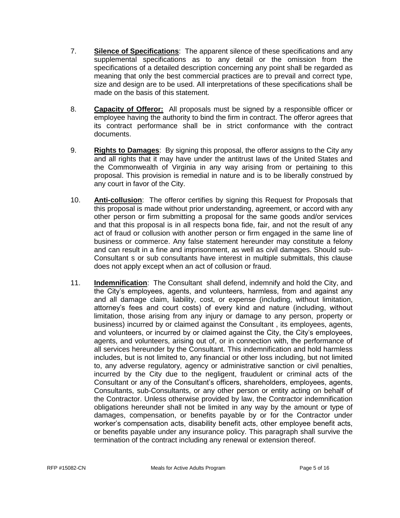- 7. **Silence of Specifications**: The apparent silence of these specifications and any supplemental specifications as to any detail or the omission from the specifications of a detailed description concerning any point shall be regarded as meaning that only the best commercial practices are to prevail and correct type, size and design are to be used. All interpretations of these specifications shall be made on the basis of this statement.
- 8. **Capacity of Offeror:** All proposals must be signed by a responsible officer or employee having the authority to bind the firm in contract. The offeror agrees that its contract performance shall be in strict conformance with the contract documents.
- 9. **Rights to Damages**: By signing this proposal, the offeror assigns to the City any and all rights that it may have under the antitrust laws of the United States and the Commonwealth of Virginia in any way arising from or pertaining to this proposal. This provision is remedial in nature and is to be liberally construed by any court in favor of the City.
- 10. **Anti-collusion**: The offeror certifies by signing this Request for Proposals that this proposal is made without prior understanding, agreement, or accord with any other person or firm submitting a proposal for the same goods and/or services and that this proposal is in all respects bona fide, fair, and not the result of any act of fraud or collusion with another person or firm engaged in the same line of business or commerce. Any false statement hereunder may constitute a felony and can result in a fine and imprisonment, as well as civil damages. Should sub-Consultant s or sub consultants have interest in multiple submittals, this clause does not apply except when an act of collusion or fraud.
- 11. **Indemnification**: The Consultant shall defend, indemnify and hold the City, and the City's employees, agents, and volunteers, harmless, from and against any and all damage claim, liability, cost, or expense (including, without limitation, attorney's fees and court costs) of every kind and nature (including, without limitation, those arising from any injury or damage to any person, property or business) incurred by or claimed against the Consultant , its employees, agents, and volunteers, or incurred by or claimed against the City, the City's employees, agents, and volunteers, arising out of, or in connection with, the performance of all services hereunder by the Consultant. This indemnification and hold harmless includes, but is not limited to, any financial or other loss including, but not limited to, any adverse regulatory, agency or administrative sanction or civil penalties, incurred by the City due to the negligent, fraudulent or criminal acts of the Consultant or any of the Consultant's officers, shareholders, employees, agents, Consultants, sub-Consultants, or any other person or entity acting on behalf of the Contractor. Unless otherwise provided by law, the Contractor indemnification obligations hereunder shall not be limited in any way by the amount or type of damages, compensation, or benefits payable by or for the Contractor under worker's compensation acts, disability benefit acts, other employee benefit acts, or benefits payable under any insurance policy. This paragraph shall survive the termination of the contract including any renewal or extension thereof.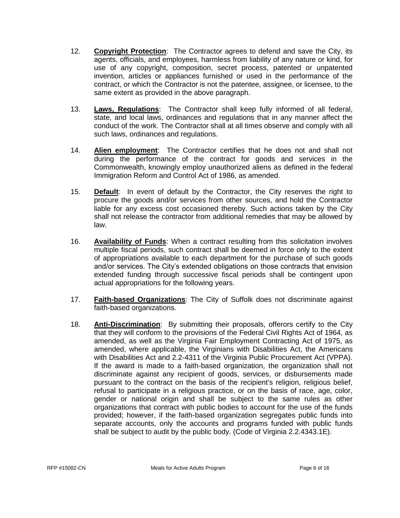- 12. **Copyright Protection**: The Contractor agrees to defend and save the City, its agents, officials, and employees, harmless from liability of any nature or kind, for use of any copyright, composition, secret process, patented or unpatented invention, articles or appliances furnished or used in the performance of the contract, or which the Contractor is not the patentee, assignee, or licensee, to the same extent as provided in the above paragraph.
- 13. **Laws, Regulations**: The Contractor shall keep fully informed of all federal, state, and local laws, ordinances and regulations that in any manner affect the conduct of the work. The Contractor shall at all times observe and comply with all such laws, ordinances and regulations.
- 14. **Alien employment**: The Contractor certifies that he does not and shall not during the performance of the contract for goods and services in the Commonwealth, knowingly employ unauthorized aliens as defined in the federal Immigration Reform and Control Act of 1986, as amended.
- 15. **Default**: In event of default by the Contractor, the City reserves the right to procure the goods and/or services from other sources, and hold the Contractor liable for any excess cost occasioned thereby. Such actions taken by the City shall not release the contractor from additional remedies that may be allowed by law.
- 16. **Availability of Funds**: When a contract resulting from this solicitation involves multiple fiscal periods, such contract shall be deemed in force only to the extent of appropriations available to each department for the purchase of such goods and/or services. The City's extended obligations on those contracts that envision extended funding through successive fiscal periods shall be contingent upon actual appropriations for the following years.
- 17. **Faith-based Organizations**: The City of Suffolk does not discriminate against faith-based organizations.
- 18. **Anti-Discrimination**: By submitting their proposals, offerors certify to the City that they will conform to the provisions of the Federal Civil Rights Act of 1964, as amended, as well as the Virginia Fair Employment Contracting Act of 1975, as amended, where applicable, the Virginians with Disabilities Act, the Americans with Disabilities Act and 2.2-4311 of the Virginia Public Procurement Act (VPPA). If the award is made to a faith-based organization, the organization shall not discriminate against any recipient of goods, services, or disbursements made pursuant to the contract on the basis of the recipient's religion, religious belief, refusal to participate in a religious practice, or on the basis of race, age, color, gender or national origin and shall be subject to the same rules as other organizations that contract with public bodies to account for the use of the funds provided; however, if the faith-based organization segregates public funds into separate accounts, only the accounts and programs funded with public funds shall be subject to audit by the public body. (Code of Virginia 2.2.4343.1E).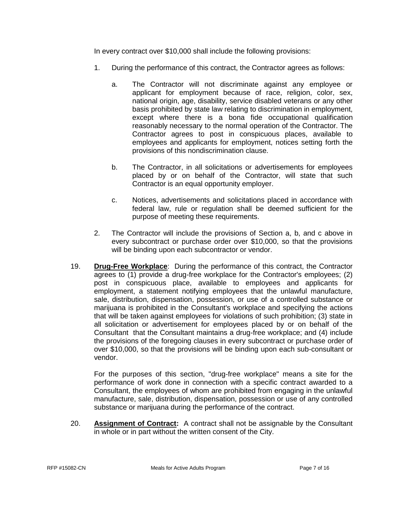In every contract over \$10,000 shall include the following provisions:

- 1. During the performance of this contract, the Contractor agrees as follows:
	- a. The Contractor will not discriminate against any employee or applicant for employment because of race, religion, color, sex, national origin, age, disability, service disabled veterans or any other basis prohibited by state law relating to discrimination in employment, except where there is a bona fide occupational qualification reasonably necessary to the normal operation of the Contractor. The Contractor agrees to post in conspicuous places, available to employees and applicants for employment, notices setting forth the provisions of this nondiscrimination clause.
	- b. The Contractor, in all solicitations or advertisements for employees placed by or on behalf of the Contractor, will state that such Contractor is an equal opportunity employer.
	- c. Notices, advertisements and solicitations placed in accordance with federal law, rule or regulation shall be deemed sufficient for the purpose of meeting these requirements.
- 2. The Contractor will include the provisions of Section a, b, and c above in every subcontract or purchase order over \$10,000, so that the provisions will be binding upon each subcontractor or vendor.
- 19. **Drug-Free Workplace**: During the performance of this contract, the Contractor agrees to (1) provide a drug-free workplace for the Contractor's employees; (2) post in conspicuous place, available to employees and applicants for employment, a statement notifying employees that the unlawful manufacture, sale, distribution, dispensation, possession, or use of a controlled substance or marijuana is prohibited in the Consultant's workplace and specifying the actions that will be taken against employees for violations of such prohibition; (3) state in all solicitation or advertisement for employees placed by or on behalf of the Consultant that the Consultant maintains a drug-free workplace; and (4) include the provisions of the foregoing clauses in every subcontract or purchase order of over \$10,000, so that the provisions will be binding upon each sub-consultant or vendor.

For the purposes of this section, "drug-free workplace" means a site for the performance of work done in connection with a specific contract awarded to a Consultant, the employees of whom are prohibited from engaging in the unlawful manufacture, sale, distribution, dispensation, possession or use of any controlled substance or marijuana during the performance of the contract.

20. **Assignment of Contract:** A contract shall not be assignable by the Consultant in whole or in part without the written consent of the City.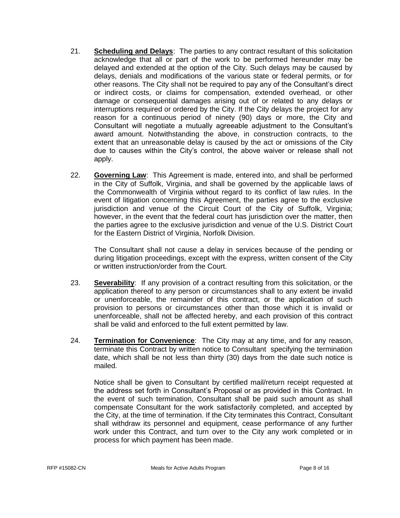- 21. **Scheduling and Delays**: The parties to any contract resultant of this solicitation acknowledge that all or part of the work to be performed hereunder may be delayed and extended at the option of the City. Such delays may be caused by delays, denials and modifications of the various state or federal permits, or for other reasons. The City shall not be required to pay any of the Consultant's direct or indirect costs, or claims for compensation, extended overhead, or other damage or consequential damages arising out of or related to any delays or interruptions required or ordered by the City. If the City delays the project for any reason for a continuous period of ninety (90) days or more, the City and Consultant will negotiate a mutually agreeable adjustment to the Consultant's award amount. Notwithstanding the above, in construction contracts, to the extent that an unreasonable delay is caused by the act or omissions of the City due to causes within the City's control, the above waiver or release shall not apply.
- 22. **Governing Law**: This Agreement is made, entered into, and shall be performed in the City of Suffolk, Virginia, and shall be governed by the applicable laws of the Commonwealth of Virginia without regard to its conflict of law rules. In the event of litigation concerning this Agreement, the parties agree to the exclusive jurisdiction and venue of the Circuit Court of the City of Suffolk, Virginia; however, in the event that the federal court has jurisdiction over the matter, then the parties agree to the exclusive jurisdiction and venue of the U.S. District Court for the Eastern District of Virginia, Norfolk Division.

The Consultant shall not cause a delay in services because of the pending or during litigation proceedings, except with the express, written consent of the City or written instruction/order from the Court.

- 23. **Severability**: If any provision of a contract resulting from this solicitation, or the application thereof to any person or circumstances shall to any extent be invalid or unenforceable, the remainder of this contract, or the application of such provision to persons or circumstances other than those which it is invalid or unenforceable, shall not be affected hereby, and each provision of this contract shall be valid and enforced to the full extent permitted by law.
- 24. **Termination for Convenience**: The City may at any time, and for any reason, terminate this Contract by written notice to Consultant specifying the termination date, which shall be not less than thirty (30) days from the date such notice is mailed.

Notice shall be given to Consultant by certified mail/return receipt requested at the address set forth in Consultant's Proposal or as provided in this Contract. In the event of such termination, Consultant shall be paid such amount as shall compensate Consultant for the work satisfactorily completed, and accepted by the City, at the time of termination. If the City terminates this Contract, Consultant shall withdraw its personnel and equipment, cease performance of any further work under this Contract, and turn over to the City any work completed or in process for which payment has been made.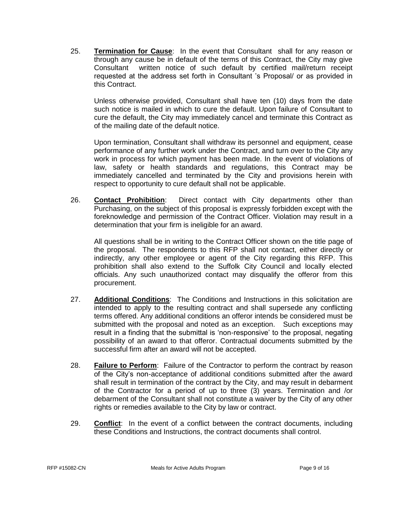25. **Termination for Cause**: In the event that Consultant shall for any reason or through any cause be in default of the terms of this Contract, the City may give Consultant written notice of such default by certified mail/return receipt requested at the address set forth in Consultant 's Proposal/ or as provided in this Contract.

Unless otherwise provided, Consultant shall have ten (10) days from the date such notice is mailed in which to cure the default. Upon failure of Consultant to cure the default, the City may immediately cancel and terminate this Contract as of the mailing date of the default notice.

Upon termination, Consultant shall withdraw its personnel and equipment, cease performance of any further work under the Contract, and turn over to the City any work in process for which payment has been made. In the event of violations of law, safety or health standards and regulations, this Contract may be immediately cancelled and terminated by the City and provisions herein with respect to opportunity to cure default shall not be applicable.

26. **Contact Prohibition**: Direct contact with City departments other than Purchasing, on the subject of this proposal is expressly forbidden except with the foreknowledge and permission of the Contract Officer. Violation may result in a determination that your firm is ineligible for an award.

All questions shall be in writing to the Contract Officer shown on the title page of the proposal. The respondents to this RFP shall not contact, either directly or indirectly, any other employee or agent of the City regarding this RFP. This prohibition shall also extend to the Suffolk City Council and locally elected officials. Any such unauthorized contact may disqualify the offeror from this procurement.

- 27. **Additional Conditions**: The Conditions and Instructions in this solicitation are intended to apply to the resulting contract and shall supersede any conflicting terms offered. Any additional conditions an offeror intends be considered must be submitted with the proposal and noted as an exception. Such exceptions may result in a finding that the submittal is 'non-responsive' to the proposal, negating possibility of an award to that offeror. Contractual documents submitted by the successful firm after an award will not be accepted.
- 28. **Failure to Perform**: Failure of the Contractor to perform the contract by reason of the City's non-acceptance of additional conditions submitted after the award shall result in termination of the contract by the City, and may result in debarment of the Contractor for a period of up to three (3) years. Termination and /or debarment of the Consultant shall not constitute a waiver by the City of any other rights or remedies available to the City by law or contract.
- 29. **Conflict**: In the event of a conflict between the contract documents, including these Conditions and Instructions, the contract documents shall control.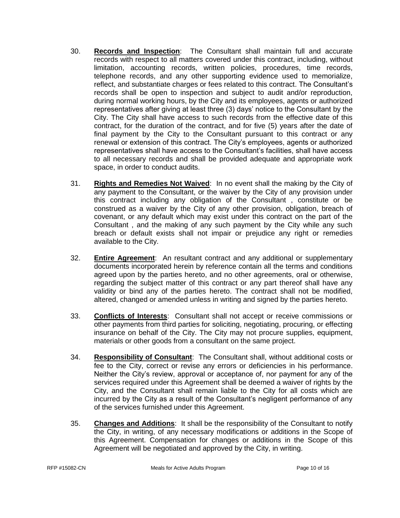- 30. **Records and Inspection**: The Consultant shall maintain full and accurate records with respect to all matters covered under this contract, including, without limitation, accounting records, written policies, procedures, time records, telephone records, and any other supporting evidence used to memorialize, reflect, and substantiate charges or fees related to this contract. The Consultant's records shall be open to inspection and subject to audit and/or reproduction, during normal working hours, by the City and its employees, agents or authorized representatives after giving at least three (3) days' notice to the Consultant by the City. The City shall have access to such records from the effective date of this contract, for the duration of the contract, and for five (5) years after the date of final payment by the City to the Consultant pursuant to this contract or any renewal or extension of this contract. The City's employees, agents or authorized representatives shall have access to the Consultant's facilities, shall have access to all necessary records and shall be provided adequate and appropriate work space, in order to conduct audits.
- 31. **Rights and Remedies Not Waived**: In no event shall the making by the City of any payment to the Consultant, or the waiver by the City of any provision under this contract including any obligation of the Consultant , constitute or be construed as a waiver by the City of any other provision, obligation, breach of covenant, or any default which may exist under this contract on the part of the Consultant , and the making of any such payment by the City while any such breach or default exists shall not impair or prejudice any right or remedies available to the City.
- 32. **Entire Agreement**: An resultant contract and any additional or supplementary documents incorporated herein by reference contain all the terms and conditions agreed upon by the parties hereto, and no other agreements, oral or otherwise, regarding the subject matter of this contract or any part thereof shall have any validity or bind any of the parties hereto. The contract shall not be modified, altered, changed or amended unless in writing and signed by the parties hereto.
- 33. **Conflicts of Interests**: Consultant shall not accept or receive commissions or other payments from third parties for soliciting, negotiating, procuring, or effecting insurance on behalf of the City. The City may not procure supplies, equipment, materials or other goods from a consultant on the same project.
- 34. **Responsibility of Consultant**: The Consultant shall, without additional costs or fee to the City, correct or revise any errors or deficiencies in his performance. Neither the City's review, approval or acceptance of, nor payment for any of the services required under this Agreement shall be deemed a waiver of rights by the City, and the Consultant shall remain liable to the City for all costs which are incurred by the City as a result of the Consultant's negligent performance of any of the services furnished under this Agreement.
- 35. **Changes and Additions**: It shall be the responsibility of the Consultant to notify the City, in writing, of any necessary modifications or additions in the Scope of this Agreement. Compensation for changes or additions in the Scope of this Agreement will be negotiated and approved by the City, in writing.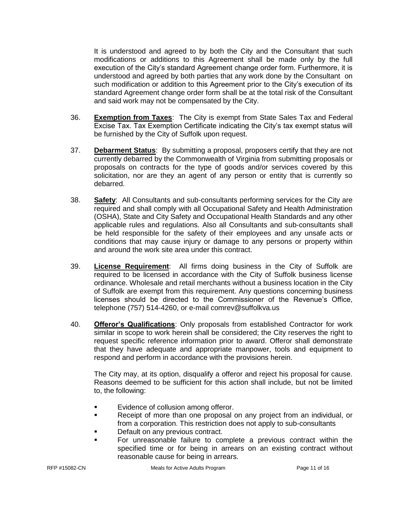It is understood and agreed to by both the City and the Consultant that such modifications or additions to this Agreement shall be made only by the full execution of the City's standard Agreement change order form. Furthermore, it is understood and agreed by both parties that any work done by the Consultant on such modification or addition to this Agreement prior to the City's execution of its standard Agreement change order form shall be at the total risk of the Consultant and said work may not be compensated by the City.

- 36. **Exemption from Taxes**: The City is exempt from State Sales Tax and Federal Excise Tax. Tax Exemption Certificate indicating the City's tax exempt status will be furnished by the City of Suffolk upon request.
- 37. **Debarment Status**: By submitting a proposal, proposers certify that they are not currently debarred by the Commonwealth of Virginia from submitting proposals or proposals on contracts for the type of goods and/or services covered by this solicitation, nor are they an agent of any person or entity that is currently so debarred.
- 38. **Safety**: All Consultants and sub-consultants performing services for the City are required and shall comply with all Occupational Safety and Health Administration (OSHA), State and City Safety and Occupational Health Standards and any other applicable rules and regulations. Also all Consultants and sub-consultants shall be held responsible for the safety of their employees and any unsafe acts or conditions that may cause injury or damage to any persons or property within and around the work site area under this contract.
- 39. **License Requirement**: All firms doing business in the City of Suffolk are required to be licensed in accordance with the City of Suffolk business license ordinance. Wholesale and retail merchants without a business location in the City of Suffolk are exempt from this requirement. Any questions concerning business licenses should be directed to the Commissioner of the Revenue's Office, telephone (757) 514-4260, or e-mail comrev@suffolkva.us
- 40. **Offeror's Qualifications**: Only proposals from established Contractor for work similar in scope to work herein shall be considered; the City reserves the right to request specific reference information prior to award. Offeror shall demonstrate that they have adequate and appropriate manpower, tools and equipment to respond and perform in accordance with the provisions herein.

The City may, at its option, disqualify a offeror and reject his proposal for cause. Reasons deemed to be sufficient for this action shall include, but not be limited to, the following:

- **Example 1** Evidence of collusion among offeror.
- Receipt of more than one proposal on any project from an individual, or from a corporation. This restriction does not apply to sub-consultants
- Default on any previous contract.
- For unreasonable failure to complete a previous contract within the specified time or for being in arrears on an existing contract without reasonable cause for being in arrears.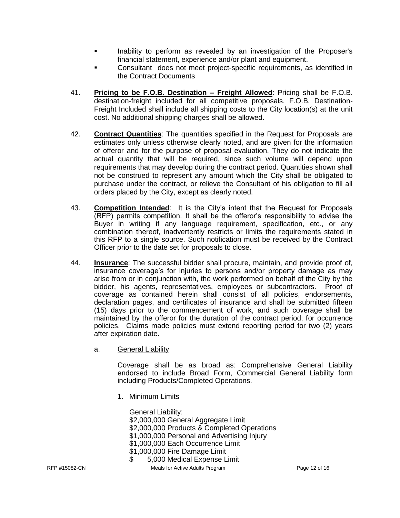- Inability to perform as revealed by an investigation of the Proposer's financial statement, experience and/or plant and equipment.
- Consultant does not meet project-specific requirements, as identified in the Contract Documents
- 41. **Pricing to be F.O.B. Destination – Freight Allowed**: Pricing shall be F.O.B. destination-freight included for all competitive proposals. F.O.B. Destination-Freight Included shall include all shipping costs to the City location(s) at the unit cost. No additional shipping charges shall be allowed.
- 42. **Contract Quantities**: The quantities specified in the Request for Proposals are estimates only unless otherwise clearly noted, and are given for the information of offeror and for the purpose of proposal evaluation. They do not indicate the actual quantity that will be required, since such volume will depend upon requirements that may develop during the contract period. Quantities shown shall not be construed to represent any amount which the City shall be obligated to purchase under the contract, or relieve the Consultant of his obligation to fill all orders placed by the City, except as clearly noted.
- 43. **Competition Intended**: It is the City's intent that the Request for Proposals (RFP) permits competition. It shall be the offeror's responsibility to advise the Buyer in writing if any language requirement, specification, etc., or any combination thereof, inadvertently restricts or limits the requirements stated in this RFP to a single source. Such notification must be received by the Contract Officer prior to the date set for proposals to close.
- 44. **Insurance**: The successful bidder shall procure, maintain, and provide proof of, insurance coverage's for injuries to persons and/or property damage as may arise from or in conjunction with, the work performed on behalf of the City by the bidder, his agents, representatives, employees or subcontractors. Proof of coverage as contained herein shall consist of all policies, endorsements, declaration pages, and certificates of insurance and shall be submitted fifteen (15) days prior to the commencement of work, and such coverage shall be maintained by the offeror for the duration of the contract period; for occurrence policies. Claims made policies must extend reporting period for two (2) years after expiration date.
	- a. General Liability

Coverage shall be as broad as: Comprehensive General Liability endorsed to include Broad Form, Commercial General Liability form including Products/Completed Operations.

1. Minimum Limits

RFP #15082-CN **Meals for Active Adults Program** Page 12 of 16 General Liability: \$2,000,000 General Aggregate Limit \$2,000,000 Products & Completed Operations \$1,000,000 Personal and Advertising Injury \$1,000,000 Each Occurrence Limit \$1,000,000 Fire Damage Limit \$ 5,000 Medical Expense Limit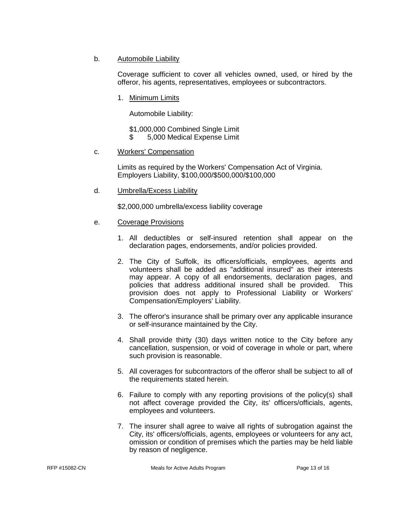b. Automobile Liability

Coverage sufficient to cover all vehicles owned, used, or hired by the offeror, his agents, representatives, employees or subcontractors.

1. Minimum Limits

Automobile Liability:

\$1,000,000 Combined Single Limit \$ 5,000 Medical Expense Limit

c. Workers' Compensation

Limits as required by the Workers' Compensation Act of Virginia. Employers Liability, \$100,000/\$500,000/\$100,000

d. Umbrella/Excess Liability

\$2,000,000 umbrella/excess liability coverage

- e. Coverage Provisions
	- 1. All deductibles or self-insured retention shall appear on the declaration pages, endorsements, and/or policies provided.
	- 2. The City of Suffolk, its officers/officials, employees, agents and volunteers shall be added as "additional insured" as their interests may appear. A copy of all endorsements, declaration pages, and policies that address additional insured shall be provided. This provision does not apply to Professional Liability or Workers' Compensation/Employers' Liability.
	- 3. The offeror's insurance shall be primary over any applicable insurance or self-insurance maintained by the City.
	- 4. Shall provide thirty (30) days written notice to the City before any cancellation, suspension, or void of coverage in whole or part, where such provision is reasonable.
	- 5. All coverages for subcontractors of the offeror shall be subject to all of the requirements stated herein.
	- 6. Failure to comply with any reporting provisions of the policy(s) shall not affect coverage provided the City, its' officers/officials, agents, employees and volunteers.
	- 7. The insurer shall agree to waive all rights of subrogation against the City, its' officers/officials, agents, employees or volunteers for any act, omission or condition of premises which the parties may be held liable by reason of negligence.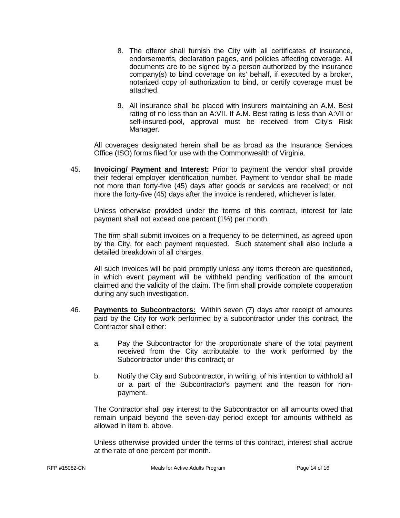- 8. The offeror shall furnish the City with all certificates of insurance, endorsements, declaration pages, and policies affecting coverage. All documents are to be signed by a person authorized by the insurance company(s) to bind coverage on its' behalf, if executed by a broker, notarized copy of authorization to bind, or certify coverage must be attached.
- 9. All insurance shall be placed with insurers maintaining an A.M. Best rating of no less than an A:VII. If A.M. Best rating is less than A:VII or self-insured-pool, approval must be received from City's Risk Manager.

All coverages designated herein shall be as broad as the Insurance Services Office (ISO) forms filed for use with the Commonwealth of Virginia.

45. **Invoicing/ Payment and Interest:** Prior to payment the vendor shall provide their federal employer identification number. Payment to vendor shall be made not more than forty-five (45) days after goods or services are received; or not more the forty-five (45) days after the invoice is rendered, whichever is later.

Unless otherwise provided under the terms of this contract, interest for late payment shall not exceed one percent (1%) per month.

The firm shall submit invoices on a frequency to be determined, as agreed upon by the City, for each payment requested. Such statement shall also include a detailed breakdown of all charges.

All such invoices will be paid promptly unless any items thereon are questioned, in which event payment will be withheld pending verification of the amount claimed and the validity of the claim. The firm shall provide complete cooperation during any such investigation.

- 46. **Payments to Subcontractors:** Within seven (7) days after receipt of amounts paid by the City for work performed by a subcontractor under this contract, the Contractor shall either:
	- a. Pay the Subcontractor for the proportionate share of the total payment received from the City attributable to the work performed by the Subcontractor under this contract; or
	- b. Notify the City and Subcontractor, in writing, of his intention to withhold all or a part of the Subcontractor's payment and the reason for nonpayment.

The Contractor shall pay interest to the Subcontractor on all amounts owed that remain unpaid beyond the seven-day period except for amounts withheld as allowed in item b. above.

Unless otherwise provided under the terms of this contract, interest shall accrue at the rate of one percent per month.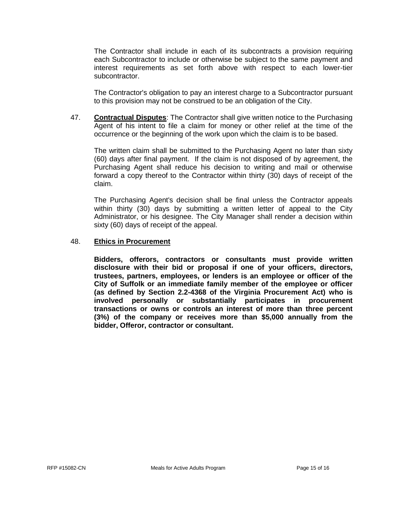The Contractor shall include in each of its subcontracts a provision requiring each Subcontractor to include or otherwise be subject to the same payment and interest requirements as set forth above with respect to each lower-tier subcontractor.

The Contractor's obligation to pay an interest charge to a Subcontractor pursuant to this provision may not be construed to be an obligation of the City.

47. **Contractual Disputes**: The Contractor shall give written notice to the Purchasing Agent of his intent to file a claim for money or other relief at the time of the occurrence or the beginning of the work upon which the claim is to be based.

The written claim shall be submitted to the Purchasing Agent no later than sixty (60) days after final payment. If the claim is not disposed of by agreement, the Purchasing Agent shall reduce his decision to writing and mail or otherwise forward a copy thereof to the Contractor within thirty (30) days of receipt of the claim.

The Purchasing Agent's decision shall be final unless the Contractor appeals within thirty (30) days by submitting a written letter of appeal to the City Administrator, or his designee. The City Manager shall render a decision within sixty (60) days of receipt of the appeal.

#### 48. **Ethics in Procurement**

**Bidders, offerors, contractors or consultants must provide written disclosure with their bid or proposal if one of your officers, directors, trustees, partners, employees, or lenders is an employee or officer of the City of Suffolk or an immediate family member of the employee or officer (as defined by Section 2.2-4368 of the Virginia Procurement Act) who is involved personally or substantially participates in procurement transactions or owns or controls an interest of more than three percent (3%) of the company or receives more than \$5,000 annually from the bidder, Offeror, contractor or consultant.**